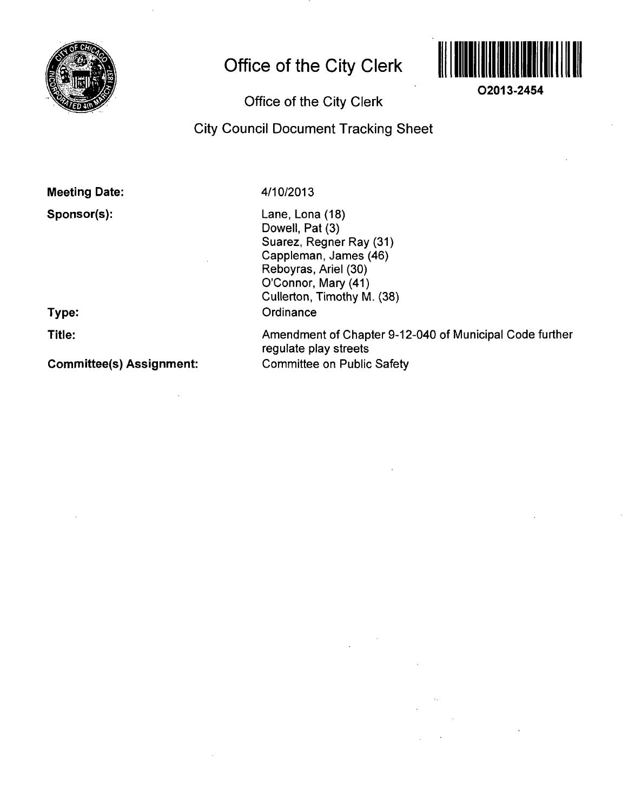

## **Office of the City Clerk**



**02013-2454** 

### **Office of the City Clerk**

## **City Council Document Tracking Sheet**

#### **Meeting Date:**

**Sponsor(s):** 

**Type:** 

**Title:** 

**Committee(s) Assignment:** 

#### 4/10/2013

Lane, Lona (18) Dowell, Pat (3) Suarez, Regner Ray (31) Cappleman, James (46) Reboyras, Ariel (30) O'Connor, Mary (41) Cullerton, Timothy M. (38) **Ordinance** 

Amendment of Chapter 9-12-040 of Municipal Code further regulate play streets Committee on Public Safety